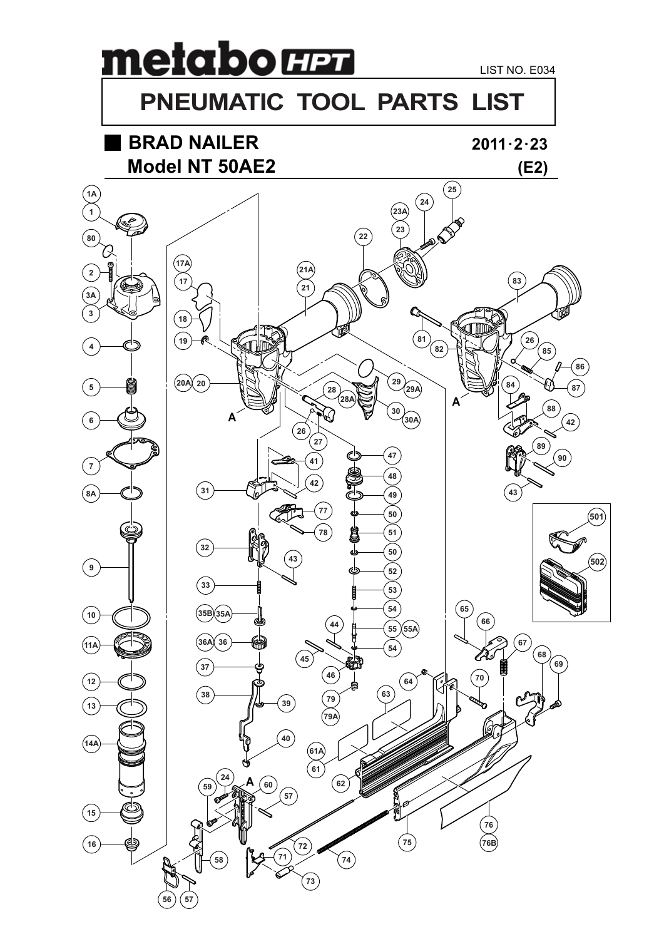# metabo **H2 PNEUMATIC TOOL PARTS LIST**

# **BRAD NAILER**



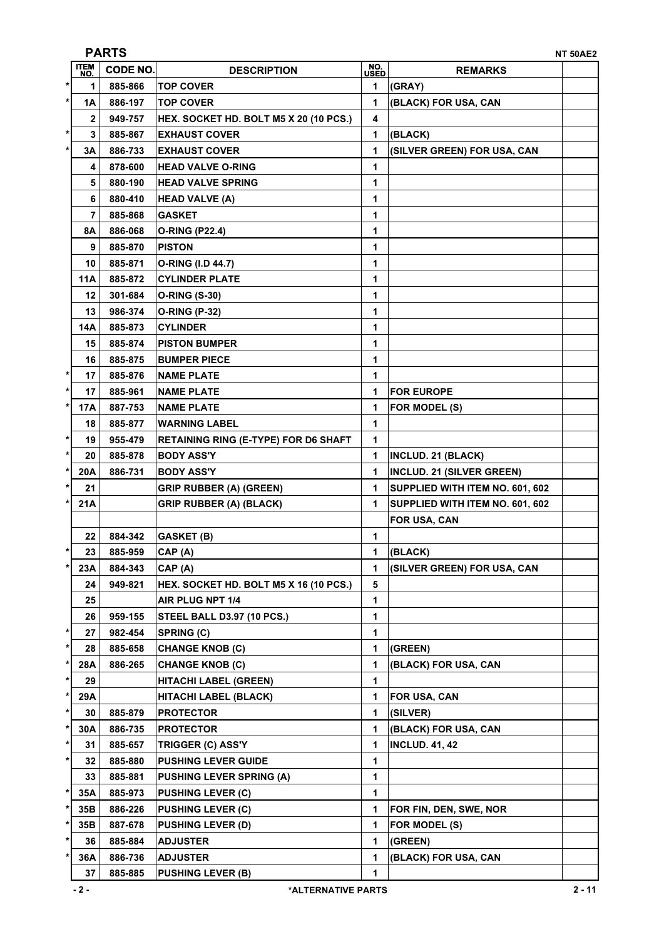|           |                    | <b>PARTS</b>    |                                             |             |                                  | <b>NT 50AE2</b> |
|-----------|--------------------|-----------------|---------------------------------------------|-------------|----------------------------------|-----------------|
|           | <b>ITEM</b><br>NO. | <b>CODE NO.</b> | <b>DESCRIPTION</b>                          | NO.<br>USED | <b>REMARKS</b>                   |                 |
| $\ast$    | 1                  | 885-866         | <b>TOP COVER</b>                            | 1           | (GRAY)                           |                 |
| $^\star$  | 1A                 | 886-197         | <b>TOP COVER</b>                            | 1           | (BLACK) FOR USA, CAN             |                 |
|           | $\mathbf{2}$       | 949-757         | HEX. SOCKET HD. BOLT M5 X 20 (10 PCS.)      | 4           |                                  |                 |
| $^\star$  | 3                  | 885-867         | <b>EXHAUST COVER</b>                        | 1           | (BLACK)                          |                 |
| $\star$   | 3A                 | 886-733         | <b>EXHAUST COVER</b>                        | 1           | (SILVER GREEN) FOR USA, CAN      |                 |
|           | 4                  | 878-600         | <b>HEAD VALVE O-RING</b>                    | 1           |                                  |                 |
|           | 5                  | 880-190         | <b>HEAD VALVE SPRING</b>                    | 1           |                                  |                 |
|           | 6                  | 880-410         | <b>HEAD VALVE (A)</b>                       | 1           |                                  |                 |
|           | 7                  | 885-868         | <b>GASKET</b>                               | 1           |                                  |                 |
|           | 8A                 | 886-068         | <b>O-RING (P22.4)</b>                       | 1           |                                  |                 |
|           | 9                  | 885-870         | <b>PISTON</b>                               | 1           |                                  |                 |
|           | 10                 | 885-871         | O-RING (I.D 44.7)                           | 1           |                                  |                 |
|           | <b>11A</b>         | 885-872         | <b>CYLINDER PLATE</b>                       | 1           |                                  |                 |
|           | 12                 | 301-684         | <b>O-RING (S-30)</b>                        | 1           |                                  |                 |
|           | 13                 | 986-374         | <b>O-RING (P-32)</b>                        | 1           |                                  |                 |
|           | <b>14A</b>         | 885-873         | <b>CYLINDER</b>                             | 1           |                                  |                 |
|           | 15                 | 885-874         | <b>PISTON BUMPER</b>                        | 1           |                                  |                 |
|           | 16                 | 885-875         | <b>BUMPER PIECE</b>                         | 1           |                                  |                 |
| $^\star$  | 17                 | 885-876         | <b>NAME PLATE</b>                           | 1           |                                  |                 |
| $\ast$    | 17                 | 885-961         | <b>NAME PLATE</b>                           | 1           | <b>FOR EUROPE</b>                |                 |
| *         | 17A                | 887-753         | <b>NAME PLATE</b>                           | 1           | FOR MODEL (S)                    |                 |
|           | 18                 | 885-877         | <b>WARNING LABEL</b>                        | 1           |                                  |                 |
| $\ast$    | 19                 | 955-479         | <b>RETAINING RING (E-TYPE) FOR D6 SHAFT</b> | 1           |                                  |                 |
| $\ast$    | 20                 | 885-878         | <b>BODY ASS'Y</b>                           | 1           | INCLUD. 21 (BLACK)               |                 |
| $\ast$    | 20A                | 886-731         | <b>BODY ASS'Y</b>                           | 1           | <b>INCLUD. 21 (SILVER GREEN)</b> |                 |
| *         | 21                 |                 | <b>GRIP RUBBER (A) (GREEN)</b>              | 1           | SUPPLIED WITH ITEM NO. 601, 602  |                 |
| $\ast$    | 21A                |                 | <b>GRIP RUBBER (A) (BLACK)</b>              | 1           | SUPPLIED WITH ITEM NO. 601, 602  |                 |
|           |                    |                 |                                             |             | FOR USA, CAN                     |                 |
|           | 22                 | 884-342         | <b>GASKET (B)</b>                           | 1           |                                  |                 |
| $\ast$    | 23                 | 885-959         | CAP(A)                                      | 1           | (BLACK)                          |                 |
| *         | 23A                | 884-343         | CAP (A)                                     | 1           | (SILVER GREEN) FOR USA, CAN      |                 |
|           | 24                 | 949-821         | HEX. SOCKET HD. BOLT M5 X 16 (10 PCS.)      | 5           |                                  |                 |
|           | 25                 |                 | AIR PLUG NPT 1/4                            | 1           |                                  |                 |
|           | 26                 | 959-155         | STEEL BALL D3.97 (10 PCS.)                  | 1           |                                  |                 |
| *         | 27                 | 982-454         | <b>SPRING (C)</b>                           | 1           |                                  |                 |
| *         | 28                 | 885-658         | <b>CHANGE KNOB (C)</b>                      | 1           | (GREEN)                          |                 |
| $^\star$  | 28A                | 886-265         | <b>CHANGE KNOB (C)</b>                      | 1           | (BLACK) FOR USA, CAN             |                 |
| *         | 29                 |                 | <b>HITACHI LABEL (GREEN)</b>                | 1           |                                  |                 |
| *         | 29A                |                 | <b>HITACHI LABEL (BLACK)</b>                | 1           | <b>FOR USA, CAN</b>              |                 |
| *         | 30                 | 885-879         | <b>PROTECTOR</b>                            | 1           | (SILVER)                         |                 |
| *         | 30A                | 886-735         | <b>PROTECTOR</b>                            | 1           | (BLACK) FOR USA, CAN             |                 |
| $^\star$  | 31                 | 885-657         | TRIGGER (C) ASS'Y                           | 1           | <b>INCLUD. 41, 42</b>            |                 |
| *         | 32                 | 885-880         | <b>PUSHING LEVER GUIDE</b>                  | 1           |                                  |                 |
|           | 33                 | 885-881         | <b>PUSHING LEVER SPRING (A)</b>             | 1           |                                  |                 |
| $\ast$    | 35A                | 885-973         | <b>PUSHING LEVER (C)</b>                    | 1           |                                  |                 |
| $^{\ast}$ | 35B                | 886-226         | <b>PUSHING LEVER (C)</b>                    | 1           | FOR FIN, DEN, SWE, NOR           |                 |
| $\ast$    | 35B                | 887-678         | <b>PUSHING LEVER (D)</b>                    | 1           | FOR MODEL (S)                    |                 |
| *         | 36                 | 885-884         | <b>ADJUSTER</b>                             | 1           | (GREEN)                          |                 |
| *         | 36A                | 886-736         | <b>ADJUSTER</b>                             | 1           | (BLACK) FOR USA, CAN             |                 |
|           | 37                 | 885-885         | <b>PUSHING LEVER (B)</b>                    | 1           |                                  |                 |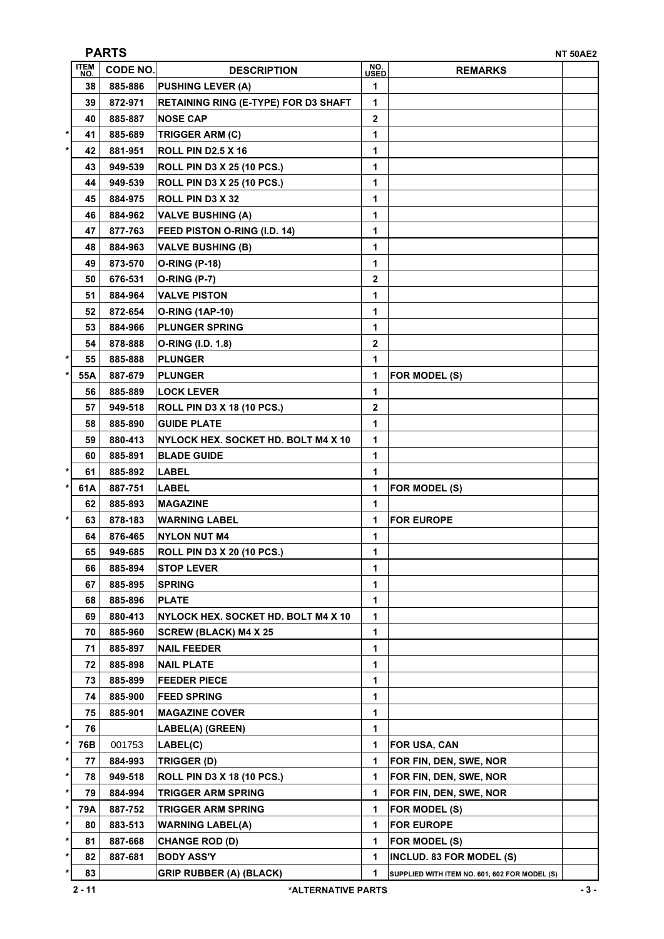|              |                    | <b>PARTS</b><br><b>NT 50AE2</b> |                                             |             |                                               |  |  |
|--------------|--------------------|---------------------------------|---------------------------------------------|-------------|-----------------------------------------------|--|--|
|              | <b>ITEM</b><br>NO. | <b>CODE NO.</b>                 | <b>DESCRIPTION</b>                          | NO.<br>USED | <b>REMARKS</b>                                |  |  |
|              | 38                 | 885-886                         | <b>PUSHING LEVER (A)</b>                    | 1           |                                               |  |  |
|              | 39                 | 872-971                         | <b>RETAINING RING (E-TYPE) FOR D3 SHAFT</b> | 1           |                                               |  |  |
|              | 40                 | 885-887                         | <b>NOSE CAP</b>                             | 2           |                                               |  |  |
| $\ast$       | 41                 | 885-689                         | <b>TRIGGER ARM (C)</b>                      | 1           |                                               |  |  |
| $\star$      | 42                 | 881-951                         | ROLL PIN D2.5 X 16                          | 1           |                                               |  |  |
|              | 43                 | 949-539                         | <b>ROLL PIN D3 X 25 (10 PCS.)</b>           | 1           |                                               |  |  |
|              | 44                 | 949-539                         | <b>ROLL PIN D3 X 25 (10 PCS.)</b>           | 1           |                                               |  |  |
|              | 45                 | 884-975                         | ROLL PIN D3 X 32                            | 1           |                                               |  |  |
|              | 46                 | 884-962                         | <b>VALVE BUSHING (A)</b>                    | 1           |                                               |  |  |
|              | 47                 | 877-763                         | FEED PISTON O-RING (I.D. 14)                | 1           |                                               |  |  |
|              | 48                 | 884-963                         | <b>VALVE BUSHING (B)</b>                    | 1           |                                               |  |  |
|              | 49                 | 873-570                         | <b>O-RING (P-18)</b>                        | 1           |                                               |  |  |
|              | 50                 | 676-531                         | <b>O-RING (P-7)</b>                         | 2           |                                               |  |  |
|              | 51                 | 884-964                         | <b>VALVE PISTON</b>                         | 1           |                                               |  |  |
|              | 52                 | 872-654                         | <b>O-RING (1AP-10)</b>                      | 1           |                                               |  |  |
|              | 53                 | 884-966                         | <b>PLUNGER SPRING</b>                       | 1           |                                               |  |  |
|              | 54                 | 878-888                         | O-RING (I.D. 1.8)                           | 2           |                                               |  |  |
| *            | 55                 | 885-888                         | <b>PLUNGER</b>                              | 1           |                                               |  |  |
| *            | 55A                | 887-679                         | <b>PLUNGER</b>                              | 1           | FOR MODEL (S)                                 |  |  |
|              | 56                 | 885-889                         | <b>LOCK LEVER</b>                           | 1           |                                               |  |  |
|              | 57                 | 949-518                         | <b>ROLL PIN D3 X 18 (10 PCS.)</b>           | 2           |                                               |  |  |
|              | 58                 | 885-890                         | <b>GUIDE PLATE</b>                          | 1           |                                               |  |  |
|              | 59                 | 880-413                         | NYLOCK HEX. SOCKET HD. BOLT M4 X 10         | 1           |                                               |  |  |
|              | 60                 | 885-891                         | <b>BLADE GUIDE</b>                          | 1           |                                               |  |  |
| $\star$      | 61                 | 885-892                         | <b>LABEL</b>                                | 1           |                                               |  |  |
| $\pmb{\ast}$ | 61A                | 887-751                         | <b>LABEL</b>                                | 1           | FOR MODEL (S)                                 |  |  |
|              | 62                 | 885-893                         | <b>MAGAZINE</b>                             | 1           |                                               |  |  |
| *            | 63                 | 878-183                         | <b>WARNING LABEL</b>                        | 1           | <b>FOR EUROPE</b>                             |  |  |
|              | 64                 | 876-465                         | <b>NYLON NUT M4</b>                         | 1           |                                               |  |  |
|              | 65                 | 949-685                         | <b>ROLL PIN D3 X 20 (10 PCS.)</b>           | 1           |                                               |  |  |
|              | 66                 | 885-894                         | <b>STOP LEVER</b>                           | 1           |                                               |  |  |
|              | 67                 | 885-895                         | <b>SPRING</b>                               | 1           |                                               |  |  |
|              | 68                 | 885-896                         | <b>PLATE</b>                                | 1           |                                               |  |  |
|              | 69                 | 880-413                         | NYLOCK HEX. SOCKET HD. BOLT M4 X 10         | 1           |                                               |  |  |
|              | 70                 | 885-960                         | <b>SCREW (BLACK) M4 X 25</b>                | 1           |                                               |  |  |
|              | 71                 | 885-897                         | <b>NAIL FEEDER</b>                          | 1           |                                               |  |  |
|              | 72                 | 885-898                         | <b>NAIL PLATE</b>                           | 1           |                                               |  |  |
|              | 73                 | 885-899                         | <b>FEEDER PIECE</b>                         | 1           |                                               |  |  |
|              | 74                 | 885-900                         | <b>FEED SPRING</b>                          | 1           |                                               |  |  |
|              | 75                 | 885-901                         | <b>MAGAZINE COVER</b>                       | 1           |                                               |  |  |
| *            | 76                 |                                 | LABEL(A) (GREEN)                            | 1           |                                               |  |  |
| $\star$      | 76B                | 001753                          | LABEL(C)                                    | 1           | FOR USA, CAN                                  |  |  |
| *            | 77                 | 884-993                         | TRIGGER (D)                                 | 1           | FOR FIN, DEN, SWE, NOR                        |  |  |
| *            | 78                 | 949-518                         | <b>ROLL PIN D3 X 18 (10 PCS.)</b>           | 1           | FOR FIN, DEN, SWE, NOR                        |  |  |
| *            | 79                 | 884-994                         | <b>TRIGGER ARM SPRING</b>                   | 1           | FOR FIN, DEN, SWE, NOR                        |  |  |
| $\ast$       | 79A                | 887-752                         | <b>TRIGGER ARM SPRING</b>                   | 1           | FOR MODEL (S)                                 |  |  |
| $^\star$     | 80                 | 883-513                         | <b>WARNING LABEL(A)</b>                     | 1           | <b>FOR EUROPE</b>                             |  |  |
| $\pmb{\ast}$ | 81                 | 887-668                         | <b>CHANGE ROD (D)</b>                       | 1           | FOR MODEL (S)                                 |  |  |
| *            | 82                 | 887-681                         | <b>BODY ASS'Y</b>                           | 1           | INCLUD. 83 FOR MODEL (S)                      |  |  |
| *            | 83                 |                                 | <b>GRIP RUBBER (A) (BLACK)</b>              | 1           | SUPPLIED WITH ITEM NO. 601, 602 FOR MODEL (S) |  |  |